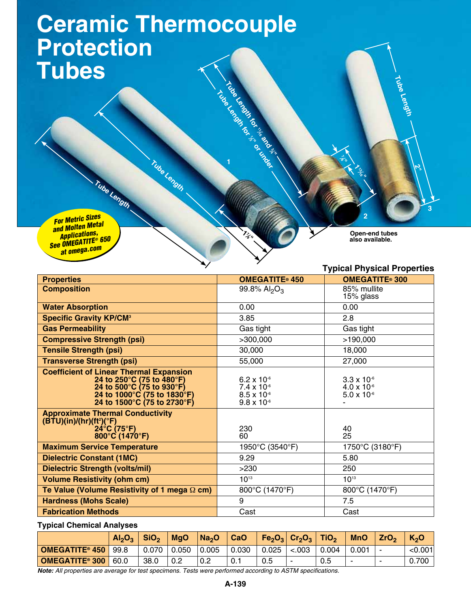## **Ceramic Thermocouple Protection Tubes**

**Tube Length**

**Tube Length** *For Metric Sizes and Molten Metal Applications, See OMEGATITE® 650 at omega.com*

**Open-end tubes also available.**

**3**

**2"**

**Tube Length**

**2**

**113⁄16"**

**7 ⁄<sup>8</sup>"**

## **Typical Physical Properties**

| <b>Properties</b>                                                                                                                 | <b>OMEGATITE® 450</b> | <b>OMEGATITE® 300</b> |  |  |  |  |
|-----------------------------------------------------------------------------------------------------------------------------------|-----------------------|-----------------------|--|--|--|--|
| <b>Composition</b>                                                                                                                | 99.8% $Al_2O_3$       | 85% mullite           |  |  |  |  |
|                                                                                                                                   |                       | 15% glass             |  |  |  |  |
| <b>Water Absorption</b>                                                                                                           | 0.00                  | 0.00                  |  |  |  |  |
| <b>Specific Gravity KP/CM<sup>3</sup></b>                                                                                         | 3.85                  | 2.8                   |  |  |  |  |
| <b>Gas Permeability</b>                                                                                                           | Gas tight             | Gas tight             |  |  |  |  |
| <b>Compressive Strength (psi)</b>                                                                                                 | >300,000              | >190,000              |  |  |  |  |
| <b>Tensile Strength (psi)</b>                                                                                                     | 30,000                | 18,000                |  |  |  |  |
| <b>Transverse Strength (psi)</b>                                                                                                  | 55,000                | 27,000                |  |  |  |  |
| <b>Coefficient of Linear Thermal Expansion</b>                                                                                    |                       |                       |  |  |  |  |
| 24 to 250°C (75 to 480°F)                                                                                                         | $6.2 \times 10^{-6}$  | $3.3 \times 10^{-6}$  |  |  |  |  |
| 24 to 500°C (75 to 930°F)                                                                                                         | $7.4 \times 10^{-6}$  | $4.0 \times 10^{-6}$  |  |  |  |  |
| 24 to 1000°C (75 to 1830°F)                                                                                                       | $8.5 \times 10^{-6}$  | $5.0 \times 10^{-6}$  |  |  |  |  |
| 24 to 1500°C (75 to 2730°F)                                                                                                       | $9.8 \times 10^{-6}$  |                       |  |  |  |  |
| <b>Approximate Thermal Conductivity</b><br>$(\overline{BTU})(\overline{in})/(\overline{hr})(\overline{ft^2})(^\circ\overline{F})$ |                       |                       |  |  |  |  |
| $24^{\circ}$ C (75 $^{\circ}$ F)                                                                                                  | 230                   | 40                    |  |  |  |  |
| $800^{\circ}$ C (1470 $^{\circ}$ F)                                                                                               | 60                    | 25                    |  |  |  |  |
| <b>Maximum Service Temperature</b>                                                                                                | 1950°C (3540°F)       | 1750°C (3180°F)       |  |  |  |  |
| <b>Dielectric Constant (1MC)</b>                                                                                                  | 9.29                  | 5.80                  |  |  |  |  |
| <b>Dielectric Strength (volts/mil)</b>                                                                                            | >230                  | 250                   |  |  |  |  |
| <b>Volume Resistivity (ohm cm)</b>                                                                                                | $10^{13}$             | $10^{13}$             |  |  |  |  |
| Te Value (Volume Resistivity of 1 mega $\Omega$ cm)                                                                               | 800°C (1470°F)        | 800°C (1470°F)        |  |  |  |  |
| <b>Hardness (Mohs Scale)</b>                                                                                                      | 9                     | 7.5                   |  |  |  |  |
| <b>Fabrication Methods</b>                                                                                                        | Cast                  | Cast                  |  |  |  |  |

**110** and 16<sup>8</sup> and 16<sup>8</sup> and 168 and 168 and 168 and 168 and 168 and 168 and 168 and 168 and 168 and 168 and 168 and 168 and 168 and 168 and 168 and 168 and 168 and 168 and 168 and 168 and 168 and 168 and 168 and 168 an

Tube Length for 1st and 2nd 1st and 2nd 1st and 2nd 1st and 2nd 1st and 2nd 1st and 2nd 1st and 2nd 1st and 2nd 1<br>15 and 2nd 1st and 2nd 1st and 2nd 1st and 2nd 1st and 2nd 1st and 2nd 1st and 2nd 1st and 2nd 1st and 2nd 1

**1**<br>**1**<br>1<br>1<br>1

**17 ⁄8"**

**Typical Chemical Analyses**

|                       | Al <sub>2</sub> O <sub>3</sub> | $\overline{\text{SiO}_2}$ | <b>MgO</b> | Na <sub>2</sub> O | CaO         |       | $Fe2O3$ $Cr2O3$ $TiO2$ |       | <b>MnO</b> | ZrO <sub>2</sub>         | K <sub>2</sub> O |
|-----------------------|--------------------------------|---------------------------|------------|-------------------|-------------|-------|------------------------|-------|------------|--------------------------|------------------|
| <b>OMEGATITE® 450</b> | 99.8                           | 0.070                     | 0.050      | 0.005             | $\pm 0.030$ | 0.025 | < .003                 | 0.004 | 0.001      |                          | < 0.001          |
| OMEGATITE® 300        | 60.0                           | 38.0                      | 0.2        | 0.2               | 0.1         | 0.5   |                        | 0.5   |            | $\overline{\phantom{a}}$ | 0.700            |

*Note: All properties are average for test specimens. Tests were performed according to ASTM specifications.*